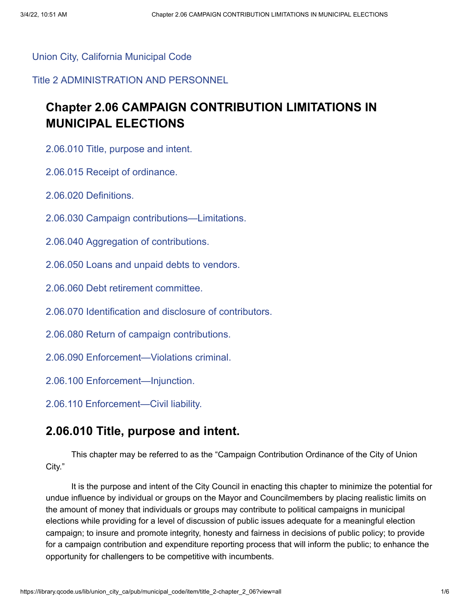#### [Union City, California Municipal Code](https://library.qcode.us/lib/union_city_ca/pub/municipal_code)

#### [Title 2 ADMINISTRATION AND PERSONNEL](https://library.qcode.us/lib/union_city_ca/pub/municipal_code/item/title_2)

# **Chapter 2.06 CAMPAIGN CONTRIBUTION LIMITATIONS IN MUNICIPAL ELECTIONS**

[2.06.010 Title, purpose and intent.](#page-0-0)

[2.06.015 Receipt of ordinance.](#page-1-0)

[2.06.020 Definitions.](#page-1-1)

[2.06.030 Campaign contributions—Limitations.](#page-1-2)

[2.06.040 Aggregation of contributions.](#page-2-0)

[2.06.050 Loans and unpaid debts to vendors.](#page-2-1)

[2.06.060 Debt retirement committee.](#page-3-0)

[2.06.070 Identification and disclosure of contributors.](#page-3-1)

[2.06.080 Return of campaign contributions.](#page-3-2)

[2.06.090 Enforcement—Violations criminal.](#page-3-3)

<span id="page-0-0"></span>[2.06.100 Enforcement—Injunction.](#page-4-0)

[2.06.110 Enforcement—Civil liability.](#page-4-1)

## **2.06.010 Title, purpose and intent.**

This chapter may be referred to as the "Campaign Contribution Ordinance of the City of Union City."

It is the purpose and intent of the City Council in enacting this chapter to minimize the potential for undue influence by individual or groups on the Mayor and Councilmembers by placing realistic limits on the amount of money that individuals or groups may contribute to political campaigns in municipal elections while providing for a level of discussion of public issues adequate for a meaningful election campaign; to insure and promote integrity, honesty and fairness in decisions of public policy; to provide for a campaign contribution and expenditure reporting process that will inform the public; to enhance the opportunity for challengers to be competitive with incumbents.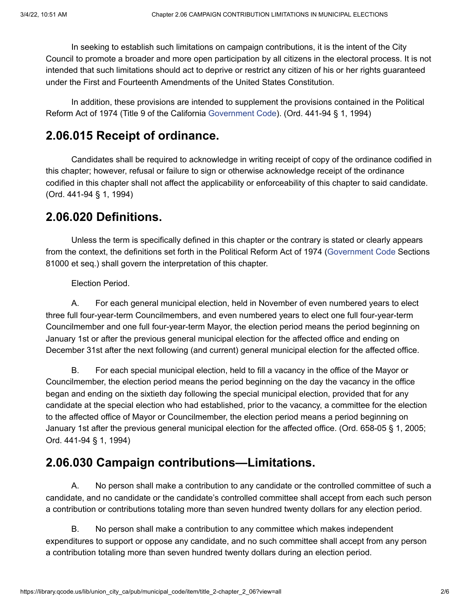In seeking to establish such limitations on campaign contributions, it is the intent of the City Council to promote a broader and more open participation by all citizens in the electoral process. It is not intended that such limitations should act to deprive or restrict any citizen of his or her rights guaranteed under the First and Fourteenth Amendments of the United States Constitution.

<span id="page-1-0"></span>In addition, these provisions are intended to supplement the provisions contained in the Political Reform Act of 1974 (Title 9 of the California [Government](https://library.qcode.us/redirect/state_code/ca/ca_gov) Code). (Ord. 441-94 § 1, 1994)

## **2.06.015 Receipt of ordinance.**

<span id="page-1-1"></span>Candidates shall be required to acknowledge in writing receipt of copy of the ordinance codified in this chapter; however, refusal or failure to sign or otherwise acknowledge receipt of the ordinance codified in this chapter shall not affect the applicability or enforceability of this chapter to said candidate. (Ord. 441-94 § 1, 1994)

#### **2.06.020 Definitions.**

Unless the term is specifically defined in this chapter or the contrary is stated or clearly appears from the context, the definitions set forth in the Political Reform Act of 1974 ([Government](https://library.qcode.us/redirect/state_code/ca/ca_gov) Code Sections 81000 et seq.) shall govern the interpretation of this chapter.

Election Period.

A. For each general municipal election, held in November of even numbered years to elect three full four-year-term Councilmembers, and even numbered years to elect one full four-year-term Councilmember and one full four-year-term Mayor, the election period means the period beginning on January 1st or after the previous general municipal election for the affected office and ending on December 31st after the next following (and current) general municipal election for the affected office.

B. For each special municipal election, held to fill a vacancy in the office of the Mayor or Councilmember, the election period means the period beginning on the day the vacancy in the office began and ending on the sixtieth day following the special municipal election, provided that for any candidate at the special election who had established, prior to the vacancy, a committee for the election to the affected office of Mayor or Councilmember, the election period means a period beginning on January 1st after the previous general municipal election for the affected office. (Ord. 658-05 § 1, 2005; Ord. 441-94 § 1, 1994)

# <span id="page-1-2"></span>**2.06.030 Campaign contributions—Limitations.**

A. No person shall make a contribution to any candidate or the controlled committee of such a candidate, and no candidate or the candidate's controlled committee shall accept from each such person a contribution or contributions totaling more than seven hundred twenty dollars for any election period.

B. No person shall make a contribution to any committee which makes independent expenditures to support or oppose any candidate, and no such committee shall accept from any person a contribution totaling more than seven hundred twenty dollars during an election period.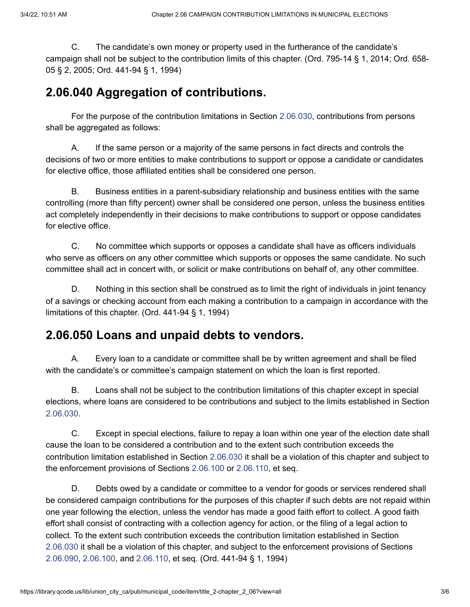<span id="page-2-0"></span>C. The candidate's own money or property used in the furtherance of the candidate's campaign shall not be subject to the contribution limits of this chapter. (Ord. 795-14 § 1, 2014; Ord. 658- 05 § 2, 2005; Ord. 441-94 § 1, 1994)

# **2.06.040 Aggregation of contributions.**

For the purpose of the contribution limitations in Section [2.06.030,](https://library.qcode.us/lib/union_city_ca/pub/municipal_code/lookup/2.06.030) contributions from persons shall be aggregated as follows:

A. If the same person or a majority of the same persons in fact directs and controls the decisions of two or more entities to make contributions to support or oppose a candidate or candidates for elective office, those affiliated entities shall be considered one person.

B. Business entities in a parent-subsidiary relationship and business entities with the same controlling (more than fifty percent) owner shall be considered one person, unless the business entities act completely independently in their decisions to make contributions to support or oppose candidates for elective office.

C. No committee which supports or opposes a candidate shall have as officers individuals who serve as officers on any other committee which supports or opposes the same candidate. No such committee shall act in concert with, or solicit or make contributions on behalf of, any other committee.

<span id="page-2-1"></span>D. Nothing in this section shall be construed as to limit the right of individuals in joint tenancy of a savings or checking account from each making a contribution to a campaign in accordance with the limitations of this chapter. (Ord. 441-94 § 1, 1994)

# **2.06.050 Loans and unpaid debts to vendors.**

A. Every loan to a candidate or committee shall be by written agreement and shall be filed with the candidate's or committee's campaign statement on which the loan is first reported.

B. Loans shall not be subject to the contribution limitations of this chapter except in special elections, where loans are considered to be contributions and subject to the limits established in Section [2.06.030](https://library.qcode.us/lib/union_city_ca/pub/municipal_code/lookup/2.06.030).

C. Except in special elections, failure to repay a loan within one year of the election date shall cause the loan to be considered a contribution and to the extent such contribution exceeds the contribution limitation established in Section [2.06.030](https://library.qcode.us/lib/union_city_ca/pub/municipal_code/lookup/2.06.030) it shall be a violation of this chapter and subject to the enforcement provisions of Sections [2.06.100](https://library.qcode.us/lib/union_city_ca/pub/municipal_code/lookup/2.06.100) or [2.06.110,](https://library.qcode.us/lib/union_city_ca/pub/municipal_code/lookup/2.06.110) et seq.

D. Debts owed by a candidate or committee to a vendor for goods or services rendered shall be considered campaign contributions for the purposes of this chapter if such debts are not repaid within one year following the election, unless the vendor has made a good faith effort to collect. A good faith effort shall consist of contracting with a collection agency for action, or the filing of a legal action to collect. To the extent such contribution exceeds the contribution limitation established in Section [2.06.030](https://library.qcode.us/lib/union_city_ca/pub/municipal_code/lookup/2.06.030) it shall be a violation of this chapter, and subject to the enforcement provisions of Sections [2.06.090](https://library.qcode.us/lib/union_city_ca/pub/municipal_code/lookup/2.06.090), [2.06.100](https://library.qcode.us/lib/union_city_ca/pub/municipal_code/lookup/2.06.100), and [2.06.110](https://library.qcode.us/lib/union_city_ca/pub/municipal_code/lookup/2.06.110), et seq. (Ord. 441-94 § 1, 1994)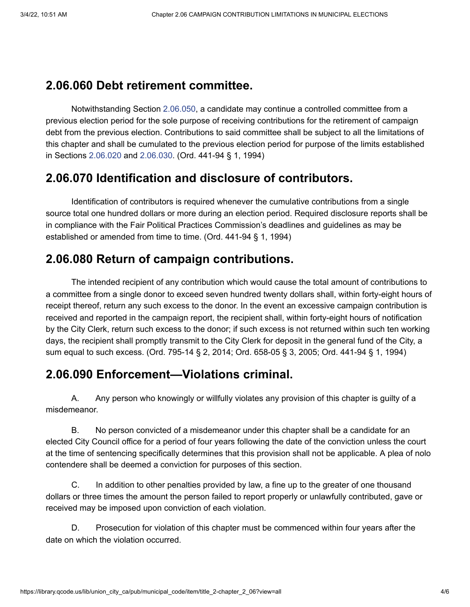# <span id="page-3-0"></span>**2.06.060 Debt retirement committee.**

<span id="page-3-1"></span>Notwithstanding Section [2.06.050,](https://library.qcode.us/lib/union_city_ca/pub/municipal_code/lookup/2.06.050) a candidate may continue a controlled committee from a previous election period for the sole purpose of receiving contributions for the retirement of campaign debt from the previous election. Contributions to said committee shall be subject to all the limitations of this chapter and shall be cumulated to the previous election period for purpose of the limits established in Sections [2.06.020](https://library.qcode.us/lib/union_city_ca/pub/municipal_code/lookup/2.06.020) and [2.06.030.](https://library.qcode.us/lib/union_city_ca/pub/municipal_code/lookup/2.06.030) (Ord. 441-94 § 1, 1994)

# **2.06.070 Identification and disclosure of contributors.**

<span id="page-3-2"></span>Identification of contributors is required whenever the cumulative contributions from a single source total one hundred dollars or more during an election period. Required disclosure reports shall be in compliance with the Fair Political Practices Commission's deadlines and guidelines as may be established or amended from time to time. (Ord. 441-94 § 1, 1994)

# **2.06.080 Return of campaign contributions.**

The intended recipient of any contribution which would cause the total amount of contributions to a committee from a single donor to exceed seven hundred twenty dollars shall, within forty-eight hours of receipt thereof, return any such excess to the donor. In the event an excessive campaign contribution is received and reported in the campaign report, the recipient shall, within forty-eight hours of notification by the City Clerk, return such excess to the donor; if such excess is not returned within such ten working days, the recipient shall promptly transmit to the City Clerk for deposit in the general fund of the City, a sum equal to such excess. (Ord. 795-14 § 2, 2014; Ord. 658-05 § 3, 2005; Ord. 441-94 § 1, 1994)

# <span id="page-3-3"></span>**2.06.090 Enforcement—Violations criminal.**

A. Any person who knowingly or willfully violates any provision of this chapter is guilty of a misdemeanor.

B. No person convicted of a misdemeanor under this chapter shall be a candidate for an elected City Council office for a period of four years following the date of the conviction unless the court at the time of sentencing specifically determines that this provision shall not be applicable. A plea of nolo contendere shall be deemed a conviction for purposes of this section.

C. In addition to other penalties provided by law, a fine up to the greater of one thousand dollars or three times the amount the person failed to report properly or unlawfully contributed, gave or received may be imposed upon conviction of each violation.

D. Prosecution for violation of this chapter must be commenced within four years after the date on which the violation occurred.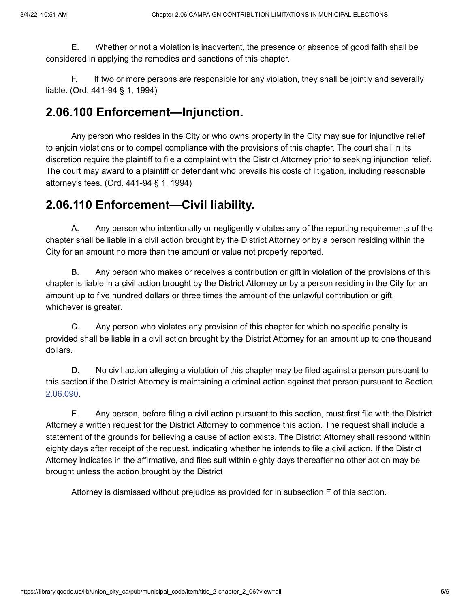E. Whether or not a violation is inadvertent, the presence or absence of good faith shall be considered in applying the remedies and sanctions of this chapter.

<span id="page-4-0"></span>F. If two or more persons are responsible for any violation, they shall be jointly and severally liable. (Ord. 441-94 § 1, 1994)

### **2.06.100 Enforcement—Injunction.**

<span id="page-4-1"></span>Any person who resides in the City or who owns property in the City may sue for injunctive relief to enjoin violations or to compel compliance with the provisions of this chapter. The court shall in its discretion require the plaintiff to file a complaint with the District Attorney prior to seeking injunction relief. The court may award to a plaintiff or defendant who prevails his costs of litigation, including reasonable attorney's fees. (Ord. 441-94 § 1, 1994)

### **2.06.110 Enforcement—Civil liability.**

A. Any person who intentionally or negligently violates any of the reporting requirements of the chapter shall be liable in a civil action brought by the District Attorney or by a person residing within the City for an amount no more than the amount or value not properly reported.

B. Any person who makes or receives a contribution or gift in violation of the provisions of this chapter is liable in a civil action brought by the District Attorney or by a person residing in the City for an amount up to five hundred dollars or three times the amount of the unlawful contribution or gift, whichever is greater.

C. Any person who violates any provision of this chapter for which no specific penalty is provided shall be liable in a civil action brought by the District Attorney for an amount up to one thousand dollars.

D. No civil action alleging a violation of this chapter may be filed against a person pursuant to this section if the District Attorney is maintaining a criminal action against that person pursuant to Section [2.06.090](https://library.qcode.us/lib/union_city_ca/pub/municipal_code/lookup/2.06.090).

E. Any person, before filing a civil action pursuant to this section, must first file with the District Attorney a written request for the District Attorney to commence this action. The request shall include a statement of the grounds for believing a cause of action exists. The District Attorney shall respond within eighty days after receipt of the request, indicating whether he intends to file a civil action. If the District Attorney indicates in the affirmative, and files suit within eighty days thereafter no other action may be brought unless the action brought by the District

Attorney is dismissed without prejudice as provided for in subsection F of this section.